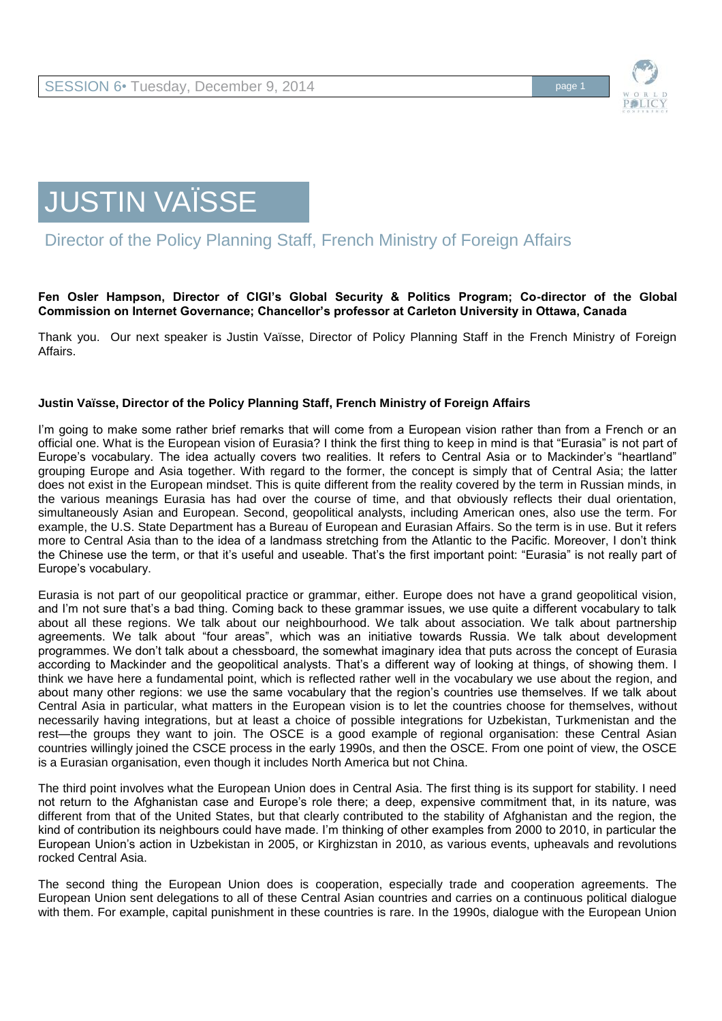



Director of the Policy Planning Staff, French Ministry of Foreign Affairs

## **Fen Osler Hampson, Director of CIGI's Global Security & Politics Program; Co-director of the Global Commission on Internet Governance; Chancellor's professor at Carleton University in Ottawa, Canada**

Thank you. Our next speaker is Justin Vaïsse, Director of Policy Planning Staff in the French Ministry of Foreign Affairs.

## **Justin Vaïsse, Director of the Policy Planning Staff, French Ministry of Foreign Affairs**

I'm going to make some rather brief remarks that will come from a European vision rather than from a French or an official one. What is the European vision of Eurasia? I think the first thing to keep in mind is that "Eurasia" is not part of Europe's vocabulary. The idea actually covers two realities. It refers to Central Asia or to Mackinder's "heartland" grouping Europe and Asia together. With regard to the former, the concept is simply that of Central Asia; the latter does not exist in the European mindset. This is quite different from the reality covered by the term in Russian minds, in the various meanings Eurasia has had over the course of time, and that obviously reflects their dual orientation, simultaneously Asian and European. Second, geopolitical analysts, including American ones, also use the term. For example, the U.S. State Department has a Bureau of European and Eurasian Affairs. So the term is in use. But it refers more to Central Asia than to the idea of a landmass stretching from the Atlantic to the Pacific. Moreover, I don't think the Chinese use the term, or that it's useful and useable. That's the first important point: "Eurasia" is not really part of Europe's vocabulary.

Eurasia is not part of our geopolitical practice or grammar, either. Europe does not have a grand geopolitical vision, and I'm not sure that's a bad thing. Coming back to these grammar issues, we use quite a different vocabulary to talk about all these regions. We talk about our neighbourhood. We talk about association. We talk about partnership agreements. We talk about "four areas", which was an initiative towards Russia. We talk about development programmes. We don't talk about a chessboard, the somewhat imaginary idea that puts across the concept of Eurasia according to Mackinder and the geopolitical analysts. That's a different way of looking at things, of showing them. I think we have here a fundamental point, which is reflected rather well in the vocabulary we use about the region, and about many other regions: we use the same vocabulary that the region's countries use themselves. If we talk about Central Asia in particular, what matters in the European vision is to let the countries choose for themselves, without necessarily having integrations, but at least a choice of possible integrations for Uzbekistan, Turkmenistan and the rest—the groups they want to join. The OSCE is a good example of regional organisation: these Central Asian countries willingly joined the CSCE process in the early 1990s, and then the OSCE. From one point of view, the OSCE is a Eurasian organisation, even though it includes North America but not China.

The third point involves what the European Union does in Central Asia. The first thing is its support for stability. I need not return to the Afghanistan case and Europe's role there; a deep, expensive commitment that, in its nature, was different from that of the United States, but that clearly contributed to the stability of Afghanistan and the region, the kind of contribution its neighbours could have made. I'm thinking of other examples from 2000 to 2010, in particular the European Union's action in Uzbekistan in 2005, or Kirghizstan in 2010, as various events, upheavals and revolutions rocked Central Asia.

The second thing the European Union does is cooperation, especially trade and cooperation agreements. The European Union sent delegations to all of these Central Asian countries and carries on a continuous political dialogue with them. For example, capital punishment in these countries is rare. In the 1990s, dialogue with the European Union